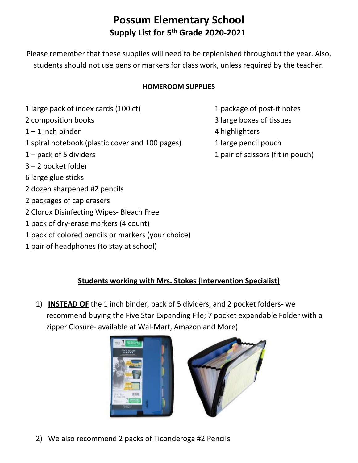# **Possum Elementary School Supply List for 5th Grade 2020-2021**

Please remember that these supplies will need to be replenished throughout the year. Also, students should not use pens or markers for class work, unless required by the teacher.

#### **HOMEROOM SUPPLIES**

- 1 large pack of index cards (100 ct) 1 package of post-it notes
- 
- $1 1$  inch binder  $4$  highlighters
- 1 spiral notebook (plastic cover and 100 pages) 1 large pencil pouch
- 
- 3 2 pocket folder
- 6 large glue sticks
- 2 dozen sharpened #2 pencils
- 2 packages of cap erasers
- 2 Clorox Disinfecting Wipes- Bleach Free
- 1 pack of dry-erase markers (4 count)
- 1 pack of colored pencils or markers (your choice)
- 1 pair of headphones (to stay at school)
- 
- 2 composition books 3 large boxes of tissues
	-
	-
- 1 pack of 5 dividers 1 pair of scissors (fit in pouch)

## **Students working with Mrs. Stokes (Intervention Specialist)**

1) **INSTEAD OF** the 1 inch binder, pack of 5 dividers, and 2 pocket folders- we recommend buying the Five Star Expanding File; 7 pocket expandable Folder with a zipper Closure- available at Wal-Mart, Amazon and More)



2) We also recommend 2 packs of Ticonderoga #2 Pencils